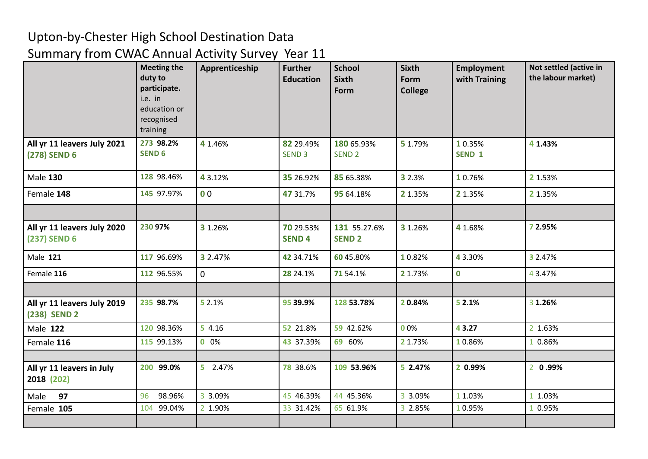## Upton-by-Chester High School Destination Data

## Summary from CWAC Annual Activity Survey Year 11

|                                             | <b>Meeting the</b><br>duty to<br>participate.<br>i.e. in<br>education or<br>recognised<br>training | Apprenticeship | <b>Further</b><br><b>Education</b> | <b>School</b><br><b>Sixth</b><br>Form | <b>Sixth</b><br>Form<br><b>College</b> | <b>Employment</b><br>with Training | Not settled (active in<br>the labour market) |
|---------------------------------------------|----------------------------------------------------------------------------------------------------|----------------|------------------------------------|---------------------------------------|----------------------------------------|------------------------------------|----------------------------------------------|
| All yr 11 leavers July 2021<br>(278) SEND 6 | 273 98.2%<br><b>SEND 6</b>                                                                         | 4 1.46%        | 82 29.49%<br>SEND <sub>3</sub>     | 180 65.93%<br>SEND <sub>2</sub>       | 5 1.79%                                | 1 0.35%<br>SEND 1                  | 4 1.43%                                      |
| <b>Male 130</b>                             | 128 98.46%                                                                                         | 4 3.12%        | 35 26.92%                          | 85 65.38%                             | 3 2.3%                                 | 10.76%                             | 2 1.53%                                      |
| Female 148                                  | 145 97.97%                                                                                         | 0 <sub>0</sub> | 47 31.7%                           | 95 64.18%                             | 2 1.35%                                | 2 1.35%                            | 2 1.35%                                      |
|                                             |                                                                                                    |                |                                    |                                       |                                        |                                    |                                              |
| All yr 11 leavers July 2020<br>(237) SEND 6 | 230 97%                                                                                            | 3 1.26%        | 70 29.53%<br><b>SEND4</b>          | 131 55.27.6%<br><b>SEND 2</b>         | 3 1.26%                                | 4 1.68%                            | 7 2.95%                                      |
| Male 121                                    | 117 96.69%                                                                                         | 3 2.47%        | 42 34.71%                          | 60 45.80%                             | 10.82%                                 | 43.30%                             | 3 2.47%                                      |
| Female 116                                  | 112 96.55%                                                                                         | $\overline{0}$ | 28 24.1%                           | 71 54.1%                              | 2 1.73%                                | $\mathbf 0$                        | 43.47%                                       |
|                                             |                                                                                                    |                |                                    |                                       |                                        |                                    |                                              |
| All yr 11 leavers July 2019<br>(238) SEND 2 | 235 98.7%                                                                                          | 5 2.1%         | 95 39.9%                           | 128 53.78%                            | 20.84%                                 | 5 2.1%                             | 3 1.26%                                      |
| <b>Male 122</b>                             | 120 98.36%                                                                                         | 54.16          | 52 21.8%                           | 59 42.62%                             | 00%                                    | 43.27                              | 2 1.63%                                      |
| Female 116                                  | 115 99.13%                                                                                         | 0.0%           | 43 37.39%                          | 69 60%                                | 2 1.73%                                | 10.86%                             | 1 0.86%                                      |
|                                             |                                                                                                    |                |                                    |                                       |                                        |                                    |                                              |
| All yr 11 leavers in July<br>2018 (202)     | 200 99.0%                                                                                          | 5 2.47%        | 78 38.6%                           | 109 53.96%                            | 5 2.47%                                | 2 0.99%                            | 2 0.99%                                      |
| 97<br>Male                                  | 98.96%<br>96                                                                                       | 3 3.09%        | 45 46.39%                          | 44 45.36%                             | 3 3.09%                                | 1 1.03%                            | 1 1.03%                                      |
| Female 105                                  | 104 99.04%                                                                                         | 2 1.90%        | 33 31.42%                          | 65 61.9%                              | 3 2.85%                                | 10.95%                             | 0.95%                                        |
|                                             |                                                                                                    |                |                                    |                                       |                                        |                                    |                                              |